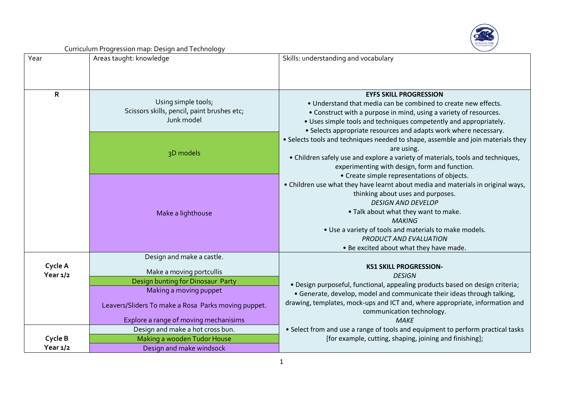

| Year         | Areas taught: knowledge                                                          | Skills: understanding and vocabulary                                                                      |  |  |
|--------------|----------------------------------------------------------------------------------|-----------------------------------------------------------------------------------------------------------|--|--|
|              |                                                                                  |                                                                                                           |  |  |
|              |                                                                                  |                                                                                                           |  |  |
| $\mathsf{R}$ |                                                                                  | <b>EYFS SKILL PROGRESSION</b>                                                                             |  |  |
|              | Using simple tools;<br>Scissors skills, pencil, paint brushes etc;<br>Junk model | . Understand that media can be combined to create new effects.                                            |  |  |
|              |                                                                                  | • Construct with a purpose in mind, using a variety of resources.                                         |  |  |
|              |                                                                                  | • Uses simple tools and techniques competently and appropriately.                                         |  |  |
|              |                                                                                  | • Selects appropriate resources and adapts work where necessary.                                          |  |  |
|              | 3D models                                                                        | • Selects tools and techniques needed to shape, assemble and join materials they<br>are using.            |  |  |
|              |                                                                                  | • Children safely use and explore a variety of materials, tools and techniques,                           |  |  |
|              |                                                                                  | experimenting with design, form and function.                                                             |  |  |
|              |                                                                                  | • Create simple representations of objects.                                                               |  |  |
|              |                                                                                  | • Children use what they have learnt about media and materials in original ways,                          |  |  |
|              |                                                                                  | thinking about uses and purposes.                                                                         |  |  |
|              |                                                                                  | <b>DESIGN AND DEVELOP</b>                                                                                 |  |  |
|              | Make a lighthouse                                                                | . Talk about what they want to make.                                                                      |  |  |
|              |                                                                                  | <b>MAKING</b>                                                                                             |  |  |
|              |                                                                                  | . Use a variety of tools and materials to make models.                                                    |  |  |
|              |                                                                                  | PRODUCT AND EVALUATION                                                                                    |  |  |
|              | Design and make a castle.                                                        | . Be excited about what they have made.                                                                   |  |  |
| Cycle A      |                                                                                  | <b>KS1 SKILL PROGRESSION-</b>                                                                             |  |  |
| Year $1/2$   | Make a moving portcullis                                                         | <b>DESIGN</b>                                                                                             |  |  |
|              | Design bunting for Dinosaur Party                                                | · Design purposeful, functional, appealing products based on design criteria;                             |  |  |
|              | Making a moving puppet                                                           | • Generate, develop, model and communicate their ideas through talking,                                   |  |  |
|              | Leavers/Sliders To make a Rosa Parks moving puppet.                              | drawing, templates, mock-ups and ICT and, where appropriate, information and<br>communication technology. |  |  |
|              | Explore a range of moving mechanisims                                            | <b>MAKE</b>                                                                                               |  |  |
|              | Design and make a hot cross bun.                                                 | • Select from and use a range of tools and equipment to perform practical tasks                           |  |  |
| Cycle B      | Making a wooden Tudor House                                                      | [for example, cutting, shaping, joining and finishing];                                                   |  |  |
| Year $1/2$   | Design and make windsock                                                         |                                                                                                           |  |  |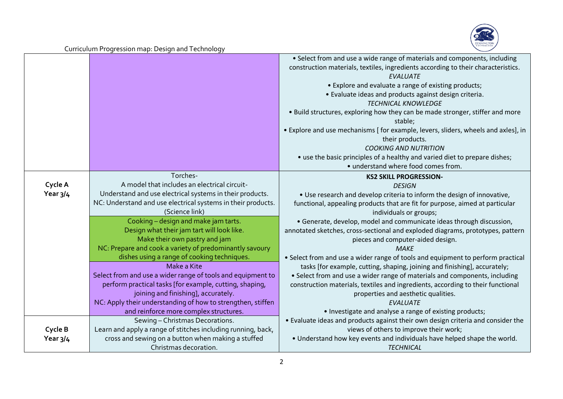

|                     |                                                                                                                                                                                                                                                                                            | • Select from and use a wide range of materials and components, including<br>construction materials, textiles, ingredients according to their characteristics.<br><b>EVALUATE</b><br>• Explore and evaluate a range of existing products;<br>· Evaluate ideas and products against design criteria.<br><b>TECHNICAL KNOWLEDGE</b><br>. Build structures, exploring how they can be made stronger, stiffer and more<br>stable;<br>• Explore and use mechanisms [ for example, levers, sliders, wheels and axles], in |
|---------------------|--------------------------------------------------------------------------------------------------------------------------------------------------------------------------------------------------------------------------------------------------------------------------------------------|---------------------------------------------------------------------------------------------------------------------------------------------------------------------------------------------------------------------------------------------------------------------------------------------------------------------------------------------------------------------------------------------------------------------------------------------------------------------------------------------------------------------|
|                     |                                                                                                                                                                                                                                                                                            | their products.<br><b>COOKING AND NUTRITION</b><br>• use the basic principles of a healthy and varied diet to prepare dishes;<br>• understand where food comes from.                                                                                                                                                                                                                                                                                                                                                |
| Cycle A<br>Year 3/4 | Torches-<br>A model that includes an electrical circuit-<br>Understand and use electrical systems in their products.<br>NC: Understand and use electrical systems in their products.<br>(Science link)                                                                                     | <b>KS2 SKILL PROGRESSION-</b><br><b>DESIGN</b><br>. Use research and develop criteria to inform the design of innovative,<br>functional, appealing products that are fit for purpose, aimed at particular<br>individuals or groups;                                                                                                                                                                                                                                                                                 |
|                     | Cooking - design and make jam tarts.<br>Design what their jam tart will look like.<br>Make their own pastry and jam<br>NC: Prepare and cook a variety of predominantly savoury                                                                                                             | • Generate, develop, model and communicate ideas through discussion,<br>annotated sketches, cross-sectional and exploded diagrams, prototypes, pattern<br>pieces and computer-aided design.<br><b>MAKE</b>                                                                                                                                                                                                                                                                                                          |
|                     | dishes using a range of cooking techniques.<br>Make a Kite<br>Select from and use a wider range of tools and equipment to<br>perform practical tasks [for example, cutting, shaping,<br>joining and finishing], accurately.<br>NC: Apply their understanding of how to strengthen, stiffen | • Select from and use a wider range of tools and equipment to perform practical<br>tasks [for example, cutting, shaping, joining and finishing], accurately;<br>• Select from and use a wider range of materials and components, including<br>construction materials, textiles and ingredients, according to their functional<br>properties and aesthetic qualities.<br><b>EVALUATE</b>                                                                                                                             |
| Cycle B<br>Year 3/4 | and reinforce more complex structures.<br>Sewing - Christmas Decorations.<br>Learn and apply a range of stitches including running, back,<br>cross and sewing on a button when making a stuffed<br>Christmas decoration.                                                                   | • Investigate and analyse a range of existing products;<br>. Evaluate ideas and products against their own design criteria and consider the<br>views of others to improve their work;<br>. Understand how key events and individuals have helped shape the world.<br><b>TECHNICAL</b>                                                                                                                                                                                                                               |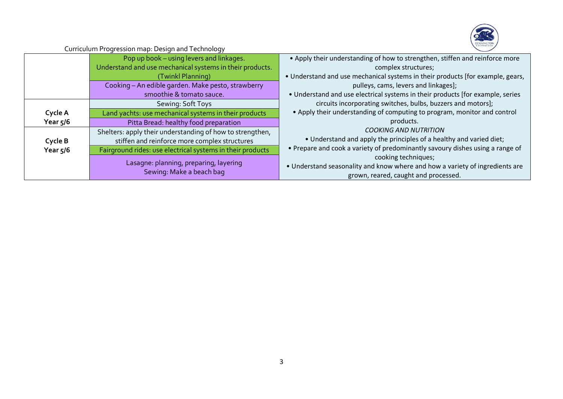

|            | Pop up book - using levers and linkages.<br>Understand and use mechanical systems in their products. | • Apply their understanding of how to strengthen, stiffen and reinforce more<br>complex structures;                                         |  |  |
|------------|------------------------------------------------------------------------------------------------------|---------------------------------------------------------------------------------------------------------------------------------------------|--|--|
|            | (Twinkl Planning)                                                                                    | • Understand and use mechanical systems in their products [for example, gears,                                                              |  |  |
|            | Cooking - An edible garden. Make pesto, strawberry<br>smoothie & tomato sauce.                       | pulleys, cams, levers and linkages];<br>• Understand and use electrical systems in their products [for example, series                      |  |  |
|            | Sewing: Soft Toys                                                                                    | circuits incorporating switches, bulbs, buzzers and motors];                                                                                |  |  |
| Cycle A    | Land yachts: use mechanical systems in their products                                                | • Apply their understanding of computing to program, monitor and control                                                                    |  |  |
| Year $5/6$ | Pitta Bread: healthy food preparation                                                                | products.                                                                                                                                   |  |  |
|            | Shelters: apply their understanding of how to strengthen,                                            | <b>COOKING AND NUTRITION</b>                                                                                                                |  |  |
| Cycle B    | stiffen and reinforce more complex structures                                                        | • Understand and apply the principles of a healthy and varied diet;                                                                         |  |  |
| Year $5/6$ | Fairground rides: use electrical systems in their products                                           | • Prepare and cook a variety of predominantly savoury dishes using a range of                                                               |  |  |
|            | Lasagne: planning, preparing, layering<br>Sewing: Make a beach bag                                   | cooking techniques;<br>• Understand seasonality and know where and how a variety of ingredients are<br>grown, reared, caught and processed. |  |  |